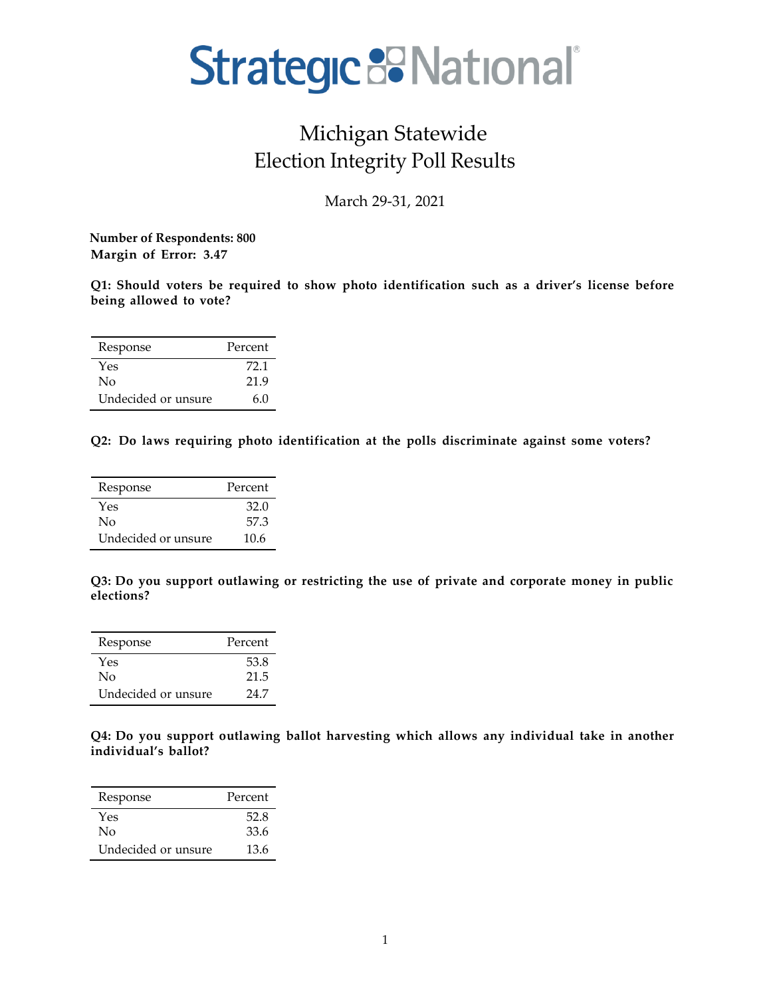# Strategic B National®

# Michigan Statewide Election Integrity Poll Results

March 29-31, 2021

 **Number of Respondents: 800 Margin of Error: 3.47**

**Q1: Should voters be required to show photo identification such as a driver's license before being allowed to vote?**

| Response            | Percent |
|---------------------|---------|
| Yes                 | 72.1    |
| Nο                  | 21.9    |
| Undecided or unsure | 6.0     |

**Q2: Do laws requiring photo identification at the polls discriminate against some voters?**

| Response            | Percent |
|---------------------|---------|
| Yes                 | 32.0    |
| No                  | 57.3    |
| Undecided or unsure | 10.6    |

**Q3: Do you support outlawing or restricting the use of private and corporate money in public elections?**

| Response            | Percent |
|---------------------|---------|
| Yes                 | 53.8    |
| $\rm No$            | 21.5    |
| Undecided or unsure | 24 7    |

**Q4: Do you support outlawing ballot harvesting which allows any individual take in another individual's ballot?**

| Response            | Percent |
|---------------------|---------|
| Yes                 | 52.8    |
| $\rm No$            | 33.6    |
| Undecided or unsure | 13.6    |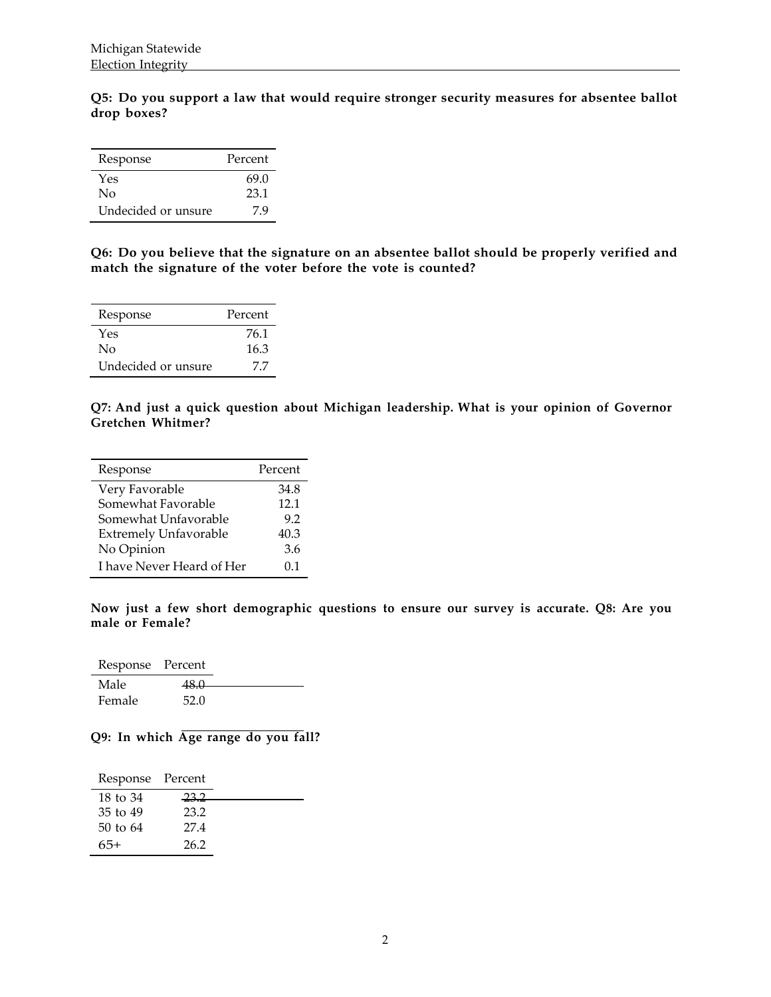**Q5: Do you support a law that would require stronger security measures for absentee ballot drop boxes?**

| Response            | Percent |
|---------------------|---------|
| Yes                 | 69.0    |
| Nο                  | 23.1    |
| Undecided or unsure | 79      |

**Q6: Do you believe that the signature on an absentee ballot should be properly verified and match the signature of the voter before the vote is counted?**

| Response            | Percent |
|---------------------|---------|
| Yes                 | 76.1    |
| Nο                  | 16.3    |
| Undecided or unsure | 77      |

**Q7: And just a quick question about Michigan leadership. What is your opinion of Governor Gretchen Whitmer?**

| Response                     | Percent |
|------------------------------|---------|
| Very Favorable               | 34.8    |
| Somewhat Favorable           | 12.1    |
| Somewhat Unfavorable         | 9.2     |
| <b>Extremely Unfavorable</b> | 40.3    |
| No Opinion                   | 3.6     |
| I have Never Heard of Her    | በ 1     |

**Now just a few short demographic questions to ensure our survey is accurate. Q8: Are you male or Female?**

Response Percent Male 48.0 Female 52.0

#### **Q9: In which Age range do you fall?**

| Response Percent |      |  |
|------------------|------|--|
| 18 to 34         | 23.2 |  |
| 35 to 49         | 23.2 |  |
| $50$ to $64$     | 27.4 |  |
| 65+              | 26.2 |  |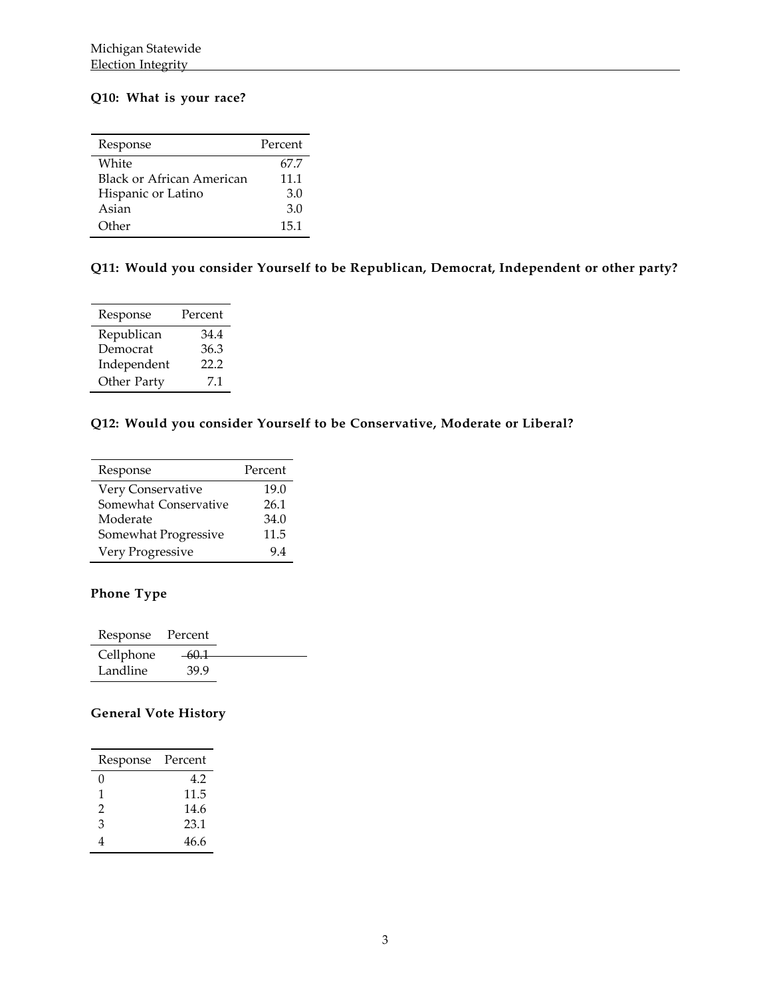### **Q10: What is your race?**

| Response                  | Percent |
|---------------------------|---------|
| White                     | 67.7    |
| Black or African American | 11.1    |
| Hispanic or Latino        | 3.0     |
| Asian                     | 3.0     |
| Other                     | 15.1    |

# **Q11: Would you consider Yourself to be Republican, Democrat, Independent or other party?**

| Response    | Percent |
|-------------|---------|
| Republican  | 34.4    |
| Democrat    | 36.3    |
| Independent | 22.2    |
| Other Party | 71      |

### **Q12: Would you consider Yourself to be Conservative, Moderate or Liberal?**

| Response              | Percent |
|-----------------------|---------|
| Very Conservative     | 19.0    |
| Somewhat Conservative | 26.1    |
| Moderate              | 34.0    |
| Somewhat Progressive  | 11.5    |
| Very Progressive      | 94      |

# **Phone Type**

| Response  | Percent |  |
|-----------|---------|--|
| Cellphone | -60.1   |  |
| Landline  | 39.9    |  |

# **General Vote History**

| Response | Percent |
|----------|---------|
| O        | 4.2     |
| 1        | 11.5    |
| 2        | 14.6    |
| 3        | 23.1    |
|          | 46.6    |